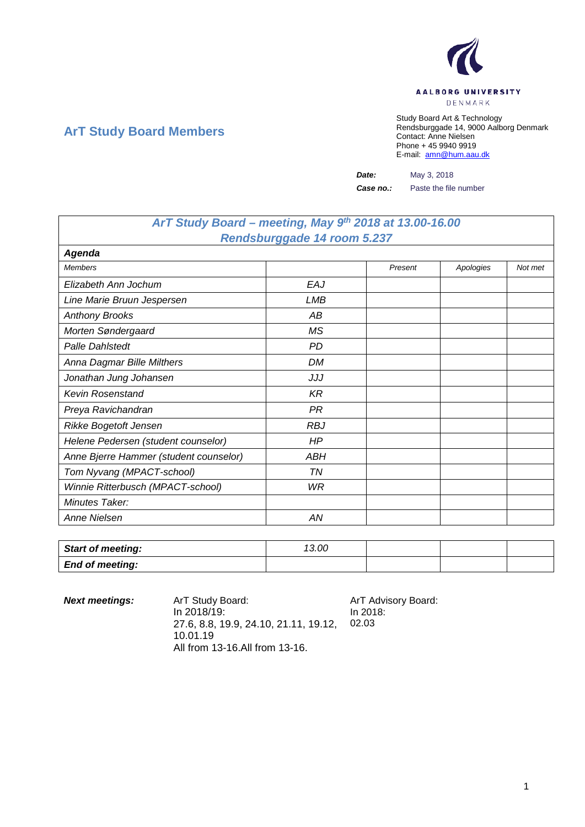

## **ArT Study Board Members**

Study Board Art & Technology Rendsburggade 14, 9000 Aalborg Denmark Contact: Anne Nielsen Phone + 45 9940 9919 E-mail: [amn@hum.aau.dk](mailto:amn@hum.aau.dk)

*Date:* May 3, 2018

*Case no.:* Paste the file number

## *ArT Study Board – meeting, May 9th 2018 at 13.00-16.00 Rendsburggade 14 room 5.237*

| Agenda                                 |            |         |           |         |
|----------------------------------------|------------|---------|-----------|---------|
| <b>Members</b>                         |            | Present | Apologies | Not met |
| Elizabeth Ann Jochum                   | EAJ        |         |           |         |
| Line Marie Bruun Jespersen             | LMB        |         |           |         |
| <b>Anthony Brooks</b>                  | АB         |         |           |         |
| Morten Søndergaard                     | ΜS         |         |           |         |
| <b>Palle Dahlstedt</b>                 | PD         |         |           |         |
| Anna Dagmar Bille Milthers             | DM         |         |           |         |
| Jonathan Jung Johansen                 | JJJ        |         |           |         |
| <b>Kevin Rosenstand</b>                | KR         |         |           |         |
| Preya Ravichandran                     | <b>PR</b>  |         |           |         |
| Rikke Bogetoft Jensen                  | <b>RBJ</b> |         |           |         |
| Helene Pedersen (student counselor)    | HP         |         |           |         |
| Anne Bjerre Hammer (student counselor) | ABH        |         |           |         |
| Tom Nyvang (MPACT-school)              | ΤN         |         |           |         |
| Winnie Ritterbusch (MPACT-school)      | WR         |         |           |         |
| Minutes Taker:                         |            |         |           |         |
| <b>Anne Nielsen</b>                    | ΑN         |         |           |         |

| <b>Start of meeting:</b> | 13.00 |  |  |
|--------------------------|-------|--|--|
| <b>End of meeting:</b>   |       |  |  |

| <b>Next meetings:</b> | ArT Study Board:<br>In 2018/19:<br>27.6, 8.8, 19.9, 24.10, 21.11, 19.12,<br>10.01.19 | ArT Advisory Board:<br>In 2018:<br>02.03 |
|-----------------------|--------------------------------------------------------------------------------------|------------------------------------------|
|                       | All from 13-16. All from 13-16.                                                      |                                          |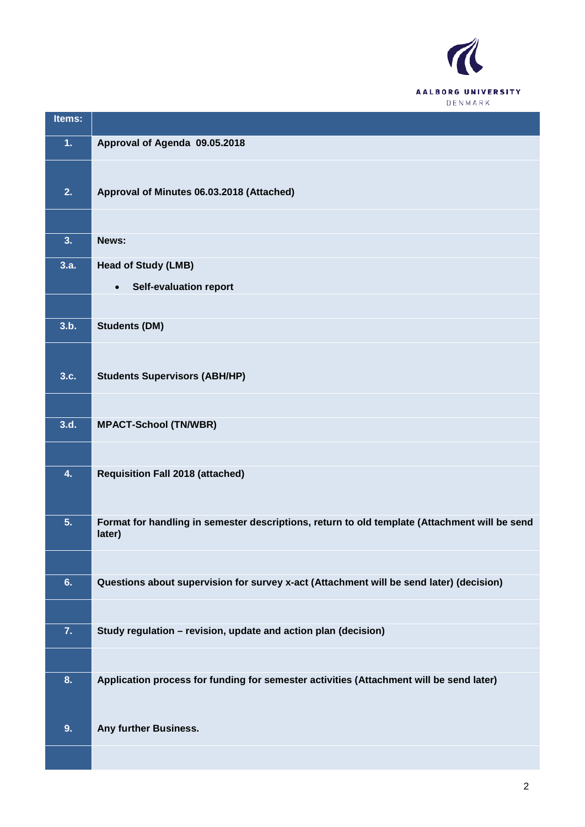

| Items: |                                                                                               |
|--------|-----------------------------------------------------------------------------------------------|
| 1.     | Approval of Agenda 09.05.2018                                                                 |
|        |                                                                                               |
| 2.     | Approval of Minutes 06.03.2018 (Attached)                                                     |
|        |                                                                                               |
| 3.     | News:                                                                                         |
| 3.a.   | <b>Head of Study (LMB)</b>                                                                    |
|        | <b>Self-evaluation report</b><br>$\bullet$                                                    |
|        |                                                                                               |
| 3.b.   | <b>Students (DM)</b>                                                                          |
|        |                                                                                               |
| 3.c.   | <b>Students Supervisors (ABH/HP)</b>                                                          |
|        |                                                                                               |
| 3.d.   | <b>MPACT-School (TN/WBR)</b>                                                                  |
|        |                                                                                               |
| 4.     | <b>Requisition Fall 2018 (attached)</b>                                                       |
|        |                                                                                               |
| 5.     | Format for handling in semester descriptions, return to old template (Attachment will be send |
|        | later)                                                                                        |
|        |                                                                                               |
| 6.     | Questions about supervision for survey x-act (Attachment will be send later) (decision)       |
|        |                                                                                               |
| 7.     | Study regulation - revision, update and action plan (decision)                                |
|        |                                                                                               |
| 8.     | Application process for funding for semester activities (Attachment will be send later)       |
|        |                                                                                               |
| 9.     | Any further Business.                                                                         |
|        |                                                                                               |